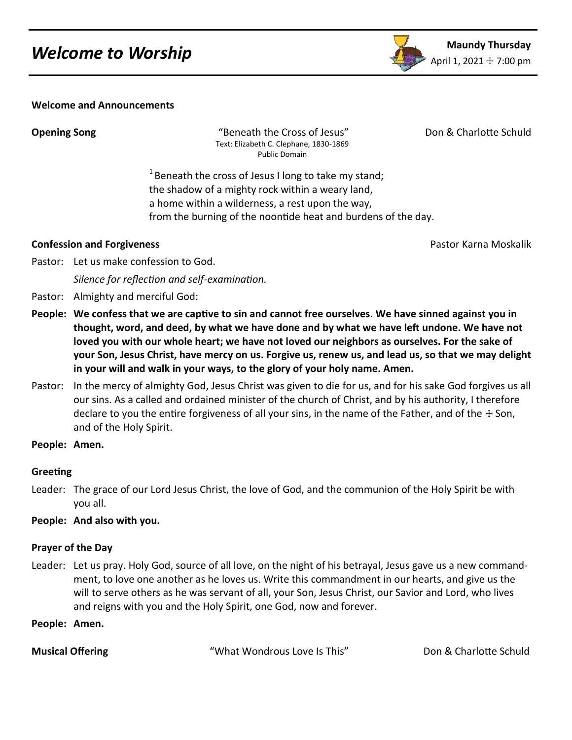

### **Welcome and Announcements**

**Opening Song The Cross of Seneath the Cross of Jesus"** Don & Charlotte Schuld Text: Elizabeth C. Clephane, 1830-1869 Public Domain

 $1$  Beneath the cross of Jesus I long to take my stand; the shadow of a mighty rock within a weary land, a home within a wilderness, a rest upon the way, from the burning of the noontide heat and burdens of the day.

### **Confession and Forgiveness Pastor Karna Moskalik Confession and Forgiveness**

Pastor: Let us make confession to God.

*Silence for reflection and self-examination.*

- Pastor: Almighty and merciful God:
- **People: We confess that we are captive to sin and cannot free ourselves. We have sinned against you in thought, word, and deed, by what we have done and by what we have left undone. We have not loved you with our whole heart; we have not loved our neighbors as ourselves. For the sake of your Son, Jesus Christ, have mercy on us. Forgive us, renew us, and lead us, so that we may delight in your will and walk in your ways, to the glory of your holy name. Amen.**
- Pastor: In the mercy of almighty God, Jesus Christ was given to die for us, and for his sake God forgives us all our sins. As a called and ordained minister of the church of Christ, and by his authority, I therefore declare to you the entire forgiveness of all your sins, in the name of the Father, and of the  $+$  Son, and of the Holy Spirit.
- **People: Amen.**

# **Greeting**

Leader: The grace of our Lord Jesus Christ, the love of God, and the communion of the Holy Spirit be with you all.

# **People: And also with you.**

# **Prayer of the Day**

- Leader: Let us pray. Holy God, source of all love, on the night of his betrayal, Jesus gave us a new commandment, to love one another as he loves us. Write this commandment in our hearts, and give us the will to serve others as he was servant of all, your Son, Jesus Christ, our Savior and Lord, who lives and reigns with you and the Holy Spirit, one God, now and forever.
- **People: Amen.**

**Musical Offering The Contract Condrome Condrous Love Is This"** Don & Charlotte Schuld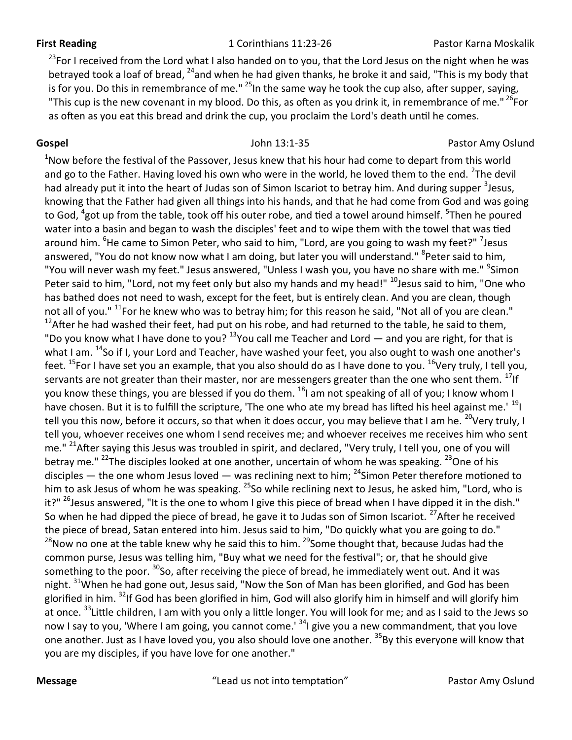### **First Reading** The Corinthians 11:23-26 Pastor Karna Moskalik

<sup>23</sup>For I received from the Lord what I also handed on to you, that the Lord Jesus on the night when he was betrayed took a loaf of bread, <sup>24</sup>and when he had given thanks, he broke it and said, "This is my body that is for you. Do this in remembrance of me."  $^{25}$ In the same way he took the cup also, after supper, saying, "This cup is the new covenant in my blood. Do this, as often as you drink it, in remembrance of me." <sup>26</sup>For as often as you eat this bread and drink the cup, you proclaim the Lord's death until he comes.

# **Gospel Cospel Pastor Amy Oslund John 13:1-35 Pastor Amy Oslund Pastor Amy Oslund**

 $1$ Now before the festival of the Passover, Jesus knew that his hour had come to depart from this world and go to the Father. Having loved his own who were in the world, he loved them to the end.  $^{2}$ The devil had already put it into the heart of Judas son of Simon Iscariot to betray him. And during supper <sup>3</sup>Jesus, knowing that the Father had given all things into his hands, and that he had come from God and was going to God, <sup>4</sup>got up from the table, took off his outer robe, and tied a towel around himself. <sup>5</sup>Then he poured water into a basin and began to wash the disciples' feet and to wipe them with the towel that was tied around him. <sup>6</sup>He came to Simon Peter, who said to him, "Lord, are you going to wash my feet?" <sup>7</sup>Jesus answered, "You do not know now what I am doing, but later you will understand." <sup>8</sup>Peter said to him, "You will never wash my feet." Jesus answered, "Unless I wash you, you have no share with me." <sup>9</sup>Simon Peter said to him, "Lord, not my feet only but also my hands and my head!" <sup>10</sup>Jesus said to him, "One who has bathed does not need to wash, except for the feet, but is entirely clean. And you are clean, though not all of you." <sup>11</sup>For he knew who was to betray him; for this reason he said, "Not all of you are clean."  $12$ After he had washed their feet, had put on his robe, and had returned to the table, he said to them, "Do you know what I have done to you?  $13$ You call me Teacher and Lord  $-$  and you are right, for that is what I am. <sup>14</sup>So if I, your Lord and Teacher, have washed your feet, you also ought to wash one another's feet.  $^{15}$ For I have set you an example, that you also should do as I have done to you.  $^{16}$ Very truly, I tell you, servants are not greater than their master, nor are messengers greater than the one who sent them. <sup>17</sup>If you know these things, you are blessed if you do them. <sup>18</sup>I am not speaking of all of you; I know whom I have chosen. But it is to fulfill the scripture, 'The one who ate my bread has lifted his heel against me.' <sup>19</sup>I tell you this now, before it occurs, so that when it does occur, you may believe that I am he. <sup>20</sup>Very truly, I tell you, whoever receives one whom I send receives me; and whoever receives me receives him who sent me." <sup>21</sup>After saying this Jesus was troubled in spirit, and declared, "Very truly, I tell you, one of you will betray me." <sup>22</sup>The disciples looked at one another, uncertain of whom he was speaking. <sup>23</sup>One of his disciples — the one whom Jesus loved — was reclining next to him;  $^{24}$ Simon Peter therefore motioned to him to ask Jesus of whom he was speaking. <sup>25</sup>So while reclining next to Jesus, he asked him, "Lord, who is it?" <sup>26</sup>Jesus answered, "It is the one to whom I give this piece of bread when I have dipped it in the dish." So when he had dipped the piece of bread, he gave it to Judas son of Simon Iscariot. <sup>27</sup>After he received the piece of bread, Satan entered into him. Jesus said to him, "Do quickly what you are going to do."  $^{28}$ Now no one at the table knew why he said this to him.  $^{29}$ Some thought that, because Judas had the common purse, Jesus was telling him, "Buy what we need for the festival"; or, that he should give something to the poor. <sup>30</sup>So, after receiving the piece of bread, he immediately went out. And it was night. <sup>31</sup>When he had gone out, Jesus said, "Now the Son of Man has been glorified, and God has been glorified in him. <sup>32</sup>If God has been glorified in him, God will also glorify him in himself and will glorify him at once. <sup>33</sup> Little children, I am with you only a little longer. You will look for me; and as I said to the Jews so now I say to you, 'Where I am going, you cannot come.' <sup>34</sup>I give you a new commandment, that you love one another. Just as I have loved you, you also should love one another. <sup>35</sup>By this everyone will know that you are my disciples, if you have love for one another."

**Message** The metal of the metal of the metal of the metal of the metal of the metal of the metal pastor Amy Oslund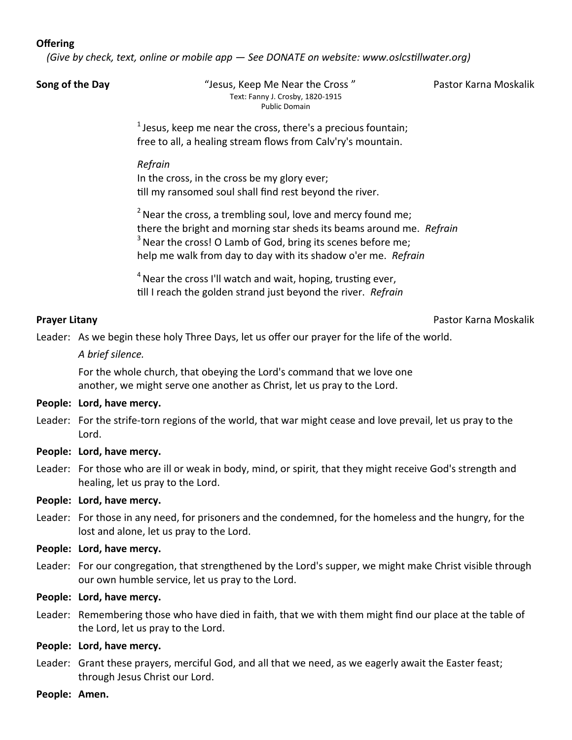# **Offering**

*(Give by check, text, online or mobile app — See DONATE on website: www.oslcstillwater.org)*

**Song of the Day The Case of the Day "** Jesus, Keep Me Near the Cross " Pastor Karna Moskalik Text: Fanny J. Crosby, 1820-1915 Public Domain

 $<sup>1</sup>$  Jesus, keep me near the cross, there's a precious fountain;</sup> free to all, a healing stream flows from Calv'ry's mountain.

### *Refrain*

In the cross, in the cross be my glory ever; till my ransomed soul shall find rest beyond the river.

 $2$  Near the cross, a trembling soul, love and mercy found me; there the bright and morning star sheds its beams around me. *Refrain*  $3$  Near the cross! O Lamb of God, bring its scenes before me; help me walk from day to day with its shadow o'er me. *Refrain*

 $4$  Near the cross I'll watch and wait, hoping, trusting ever, till I reach the golden strand just beyond the river. *Refrain*

# **Prayer Litany** Pastor Karna Moskalik

Leader: As we begin these holy Three Days, let us offer our prayer for the life of the world.

*A brief silence.*

For the whole church, that obeying the Lord's command that we love one another, we might serve one another as Christ, let us pray to the Lord.

# **People: Lord, have mercy.**

- Leader: For the strife-torn regions of the world, that war might cease and love prevail, let us pray to the Lord.
- **People: Lord, have mercy.**
- Leader: For those who are ill or weak in body, mind, or spirit*,* that they might receive God's strength and healing, let us pray to the Lord.

# **People: Lord, have mercy.**

Leader: For those in any need, for prisoners and the condemned, for the homeless and the hungry, for the lost and alone, let us pray to the Lord.

# **People: Lord, have mercy.**

- Leader: For our congregation, that strengthened by the Lord's supper, we might make Christ visible through our own humble service, let us pray to the Lord.
- **People: Lord, have mercy.**
- Leader: Remembering those who have died in faith, that we with them might find our place at the table of the Lord, let us pray to the Lord.

# **People: Lord, have mercy.**

- Leader: Grant these prayers, merciful God, and all that we need, as we eagerly await the Easter feast; through Jesus Christ our Lord.
- **People: Amen.**